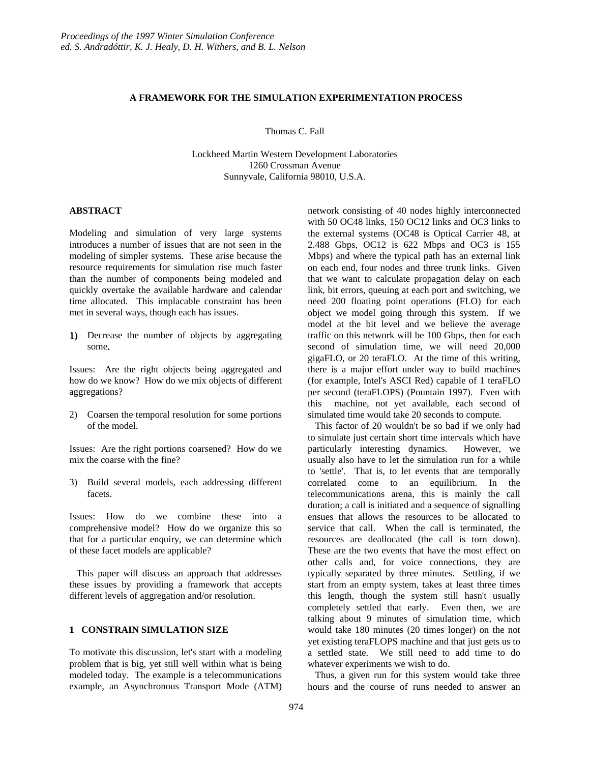## **A FRAMEWORK FOR THE SIMULATION EXPERIMENTATION PROCESS**

Thomas C. Fall

Lockheed Martin Western Development Laboratories 1260 Crossman Avenue Sunnyvale, California 98010, U.S.A.

#### **ABSTRACT**

Modeling and simulation of very large systems introduces a number of issues that are not seen in the modeling of simpler systems. These arise because the resource requirements for simulation rise much faster than the number of components being modeled and quickly overtake the available hardware and calendar time allocated. This implacable constraint has been met in several ways, though each has issues.

1) Decrease the number of objects by aggregating some.

Issues: Are the right objects being aggregated and how do we know? How do we mix objects of different aggregations?

2) Coarsen the temporal resolution for some portions of the model.

Issues: Are the right portions coarsened? How do we mix the coarse with the fine?

3) Build several models, each addressing different facets.

Issues: How do we combine these into a comprehensive model? How do we organize this so that for a particular enquiry, we can determine which of these facet models are applicable?

 This paper will discuss an approach that addresses these issues by providing a framework that accepts different levels of aggregation and/or resolution.

## **1 CONSTRAIN SIMULATION SIZE**

To motivate this discussion, let's start with a modeling problem that is big, yet still well within what is being modeled today. The example is a telecommunications example, an Asynchronous Transport Mode (ATM)

network consisting of 40 nodes highly interconnected with 50 OC48 links, 150 OC12 links and OC3 links to the external systems (OC48 is Optical Carrier 48, at 2.488 Gbps, OC12 is 622 Mbps and OC3 is 155 Mbps) and where the typical path has an external link on each end, four nodes and three trunk links. Given that we want to calculate propagation delay on each link, bit errors, queuing at each port and switching, we need 200 floating point operations (FLO) for each object we model going through this system. If we model at the bit level and we believe the average traffic on this network will be 100 Gbps, then for each second of simulation time, we will need 20,000 gigaFLO, or 20 teraFLO. At the time of this writing, there is a major effort under way to build machines (for example, Intel's ASCI Red) capable of 1 teraFLO per second (teraFLOPS) (Pountain 1997). Even with this machine, not yet available, each second of simulated time would take 20 seconds to compute.

 This factor of 20 wouldn't be so bad if we only had to simulate just certain short time intervals which have particularly interesting dynamics. However, we usually also have to let the simulation run for a while to 'settle'. That is, to let events that are temporally correlated come to an equilibrium. In the telecommunications arena, this is mainly the call duration; a call is initiated and a sequence of signalling ensues that allows the resources to be allocated to service that call. When the call is terminated, the resources are deallocated (the call is torn down). These are the two events that have the most effect on other calls and, for voice connections, they are typically separated by three minutes. Settling, if we start from an empty system, takes at least three times this length, though the system still hasn't usually completely settled that early. Even then, we are talking about 9 minutes of simulation time, which would take 180 minutes (20 times longer) on the not yet existing teraFLOPS machine and that just gets us to a settled state. We still need to add time to do whatever experiments we wish to do.

 Thus, a given run for this system would take three hours and the course of runs needed to answer an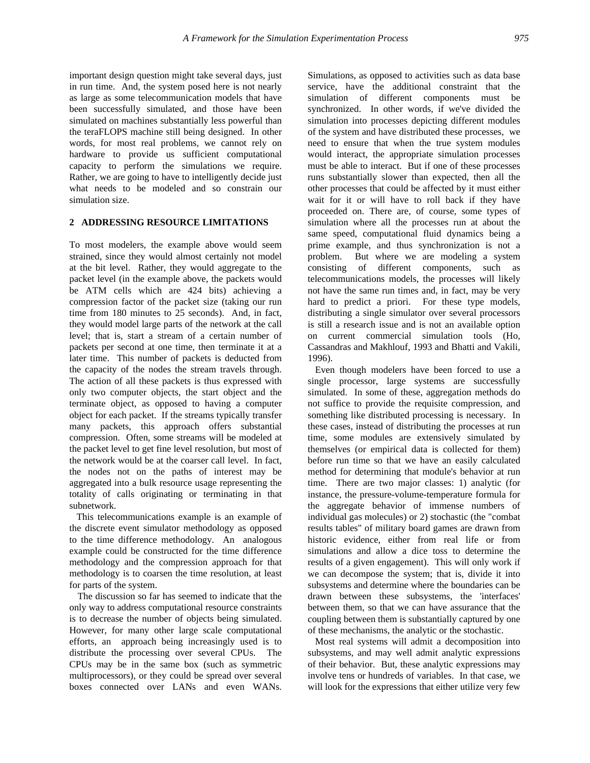important design question might take several days, just in run time. And, the system posed here is not nearly as large as some telecommunication models that have been successfully simulated, and those have been simulated on machines substantially less powerful than the teraFLOPS machine still being designed. In other words, for most real problems, we cannot rely on hardware to provide us sufficient computational capacity to perform the simulations we require. Rather, we are going to have to intelligently decide just what needs to be modeled and so constrain our simulation size.

# **2 ADDRESSING RESOURCE LIMITATIONS**

To most modelers, the example above would seem strained, since they would almost certainly not model at the bit level. Rather, they would aggregate to the packet level (in the example above, the packets would be ATM cells which are 424 bits) achieving a compression factor of the packet size (taking our run time from 180 minutes to 25 seconds). And, in fact, they would model large parts of the network at the call level; that is, start a stream of a certain number of packets per second at one time, then terminate it at a later time. This number of packets is deducted from the capacity of the nodes the stream travels through. The action of all these packets is thus expressed with only two computer objects, the start object and the terminate object, as opposed to having a computer object for each packet. If the streams typically transfer many packets, this approach offers substantial compression. Often, some streams will be modeled at the packet level to get fine level resolution, but most of the network would be at the coarser call level. In fact, the nodes not on the paths of interest may be aggregated into a bulk resource usage representing the totality of calls originating or terminating in that subnetwork.

 This telecommunications example is an example of the discrete event simulator methodology as opposed to the time difference methodology. An analogous example could be constructed for the time difference methodology and the compression approach for that methodology is to coarsen the time resolution, at least for parts of the system.

 The discussion so far has seemed to indicate that the only way to address computational resource constraints is to decrease the number of objects being simulated. However, for many other large scale computational efforts, an approach being increasingly used is to distribute the processing over several CPUs. The CPUs may be in the same box (such as symmetric multiprocessors), or they could be spread over several boxes connected over LANs and even WANs.

Simulations, as opposed to activities such as data base service, have the additional constraint that the simulation of different components must be synchronized. In other words, if we've divided the simulation into processes depicting different modules of the system and have distributed these processes, we need to ensure that when the true system modules would interact, the appropriate simulation processes must be able to interact. But if one of these processes runs substantially slower than expected, then all the other processes that could be affected by it must either wait for it or will have to roll back if they have proceeded on. There are, of course, some types of simulation where all the processes run at about the same speed, computational fluid dynamics being a prime example, and thus synchronization is not a problem. But where we are modeling a system consisting of different components, such as telecommunications models, the processes will likely not have the same run times and, in fact, may be very hard to predict a priori. For these type models, distributing a single simulator over several processors is still a research issue and is not an available option on current commercial simulation tools (Ho, Cassandras and Makhlouf, 1993 and Bhatti and Vakili, 1996).

 Even though modelers have been forced to use a single processor, large systems are successfully simulated. In some of these, aggregation methods do not suffice to provide the requisite compression, and something like distributed processing is necessary. In these cases, instead of distributing the processes at run time, some modules are extensively simulated by themselves (or empirical data is collected for them) before run time so that we have an easily calculated method for determining that module's behavior at run time. There are two major classes: 1) analytic (for instance, the pressure-volume-temperature formula for the aggregate behavior of immense numbers of individual gas molecules) or 2) stochastic (the "combat results tables" of military board games are drawn from historic evidence, either from real life or from simulations and allow a dice toss to determine the results of a given engagement). This will only work if we can decompose the system; that is, divide it into subsystems and determine where the boundaries can be drawn between these subsystems, the 'interfaces' between them, so that we can have assurance that the coupling between them is substantially captured by one of these mechanisms, the analytic or the stochastic.

 Most real systems will admit a decomposition into subsystems, and may well admit analytic expressions of their behavior. But, these analytic expressions may involve tens or hundreds of variables. In that case, we will look for the expressions that either utilize very few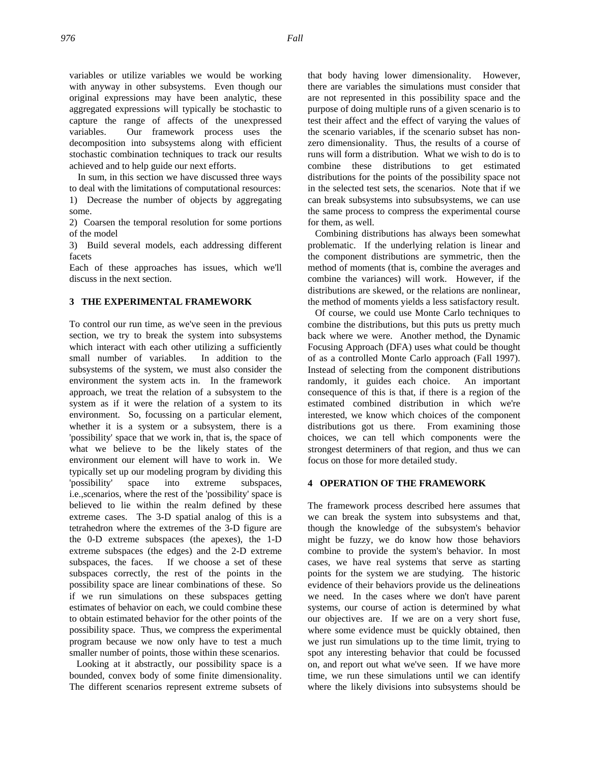variables or utilize variables we would be working with anyway in other subsystems. Even though our original expressions may have been analytic, these aggregated expressions will typically be stochastic to capture the range of affects of the unexpressed variables. Our framework process uses the decomposition into subsystems along with efficient stochastic combination techniques to track our results achieved and to help guide our next efforts.

 In sum, in this section we have discussed three ways to deal with the limitations of computational resources: 1) Decrease the number of objects by aggregating some.

2) Coarsen the temporal resolution for some portions of the model

3) Build several models, each addressing different facets

Each of these approaches has issues, which we'll discuss in the next section.

# **3 THE EXPERIMENTAL FRAMEWORK**

To control our run time, as we've seen in the previous section, we try to break the system into subsystems which interact with each other utilizing a sufficiently small number of variables. In addition to the subsystems of the system, we must also consider the environment the system acts in. In the framework approach, we treat the relation of a subsystem to the system as if it were the relation of a system to its environment. So, focussing on a particular element, whether it is a system or a subsystem, there is a 'possibility' space that we work in, that is, the space of what we believe to be the likely states of the environment our element will have to work in. We typically set up our modeling program by dividing this 'possibility' space into extreme subspaces, i.e.,scenarios, where the rest of the 'possibility' space is believed to lie within the realm defined by these extreme cases. The 3-D spatial analog of this is a tetrahedron where the extremes of the 3-D figure are the 0-D extreme subspaces (the apexes), the 1-D extreme subspaces (the edges) and the 2-D extreme subspaces, the faces. If we choose a set of these subspaces correctly, the rest of the points in the possibility space are linear combinations of these. So if we run simulations on these subspaces getting estimates of behavior on each, we could combine these to obtain estimated behavior for the other points of the possibility space. Thus, we compress the experimental program because we now only have to test a much smaller number of points, those within these scenarios.

 Looking at it abstractly, our possibility space is a bounded, convex body of some finite dimensionality. The different scenarios represent extreme subsets of

that body having lower dimensionality. However, there are variables the simulations must consider that are not represented in this possibility space and the purpose of doing multiple runs of a given scenario is to test their affect and the effect of varying the values of the scenario variables, if the scenario subset has nonzero dimensionality. Thus, the results of a course of runs will form a distribution. What we wish to do is to combine these distributions to get estimated distributions for the points of the possibility space not in the selected test sets, the scenarios. Note that if we can break subsystems into subsubsystems, we can use the same process to compress the experimental course for them, as well.

 Combining distributions has always been somewhat problematic. If the underlying relation is linear and the component distributions are symmetric, then the method of moments (that is, combine the averages and combine the variances) will work. However, if the distributions are skewed, or the relations are nonlinear. the method of moments yields a less satisfactory result.

 Of course, we could use Monte Carlo techniques to combine the distributions, but this puts us pretty much back where we were. Another method, the Dynamic Focusing Approach (DFA) uses what could be thought of as a controlled Monte Carlo approach (Fall 1997). Instead of selecting from the component distributions randomly, it guides each choice. An important consequence of this is that, if there is a region of the estimated combined distribution in which we're interested, we know which choices of the component distributions got us there. From examining those choices, we can tell which components were the strongest determiners of that region, and thus we can focus on those for more detailed study.

### **4 OPERATION OF THE FRAMEWORK**

The framework process described here assumes that we can break the system into subsystems and that, though the knowledge of the subsystem's behavior might be fuzzy, we do know how those behaviors combine to provide the system's behavior. In most cases, we have real systems that serve as starting points for the system we are studying. The historic evidence of their behaviors provide us the delineations we need. In the cases where we don't have parent systems, our course of action is determined by what our objectives are. If we are on a very short fuse, where some evidence must be quickly obtained, then we just run simulations up to the time limit, trying to spot any interesting behavior that could be focussed on, and report out what we've seen. If we have more time, we run these simulations until we can identify where the likely divisions into subsystems should be